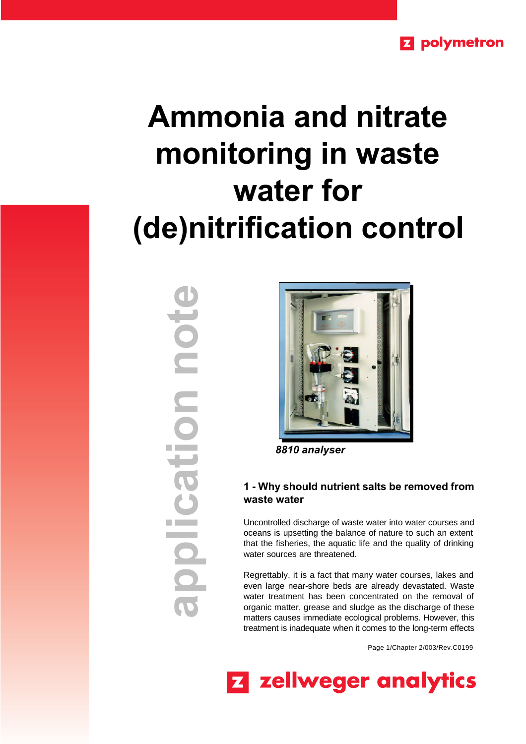# **Ammonia and nitrate monitoring in waste water for (de)nitrification control**

**application note**note plication  $\bigcirc$ 



*8810 analyser*

#### **1 - Why should nutrient salts be removed from waste water**

Uncontrolled discharge of waste water into water courses and oceans is upsetting the balance of nature to such an extent that the fisheries, the aquatic life and the quality of drinking water sources are threatened.

Regrettably, it is a fact that many water courses, lakes and even large near-shore beds are already devastated. Waste water treatment has been concentrated on the removal of organic matter, grease and sludge as the discharge of these matters causes immediate ecological problems. However, this treatment is inadequate when it comes to the long-term effects

-Page 1/Chapter 2/003/Rev.C0199-

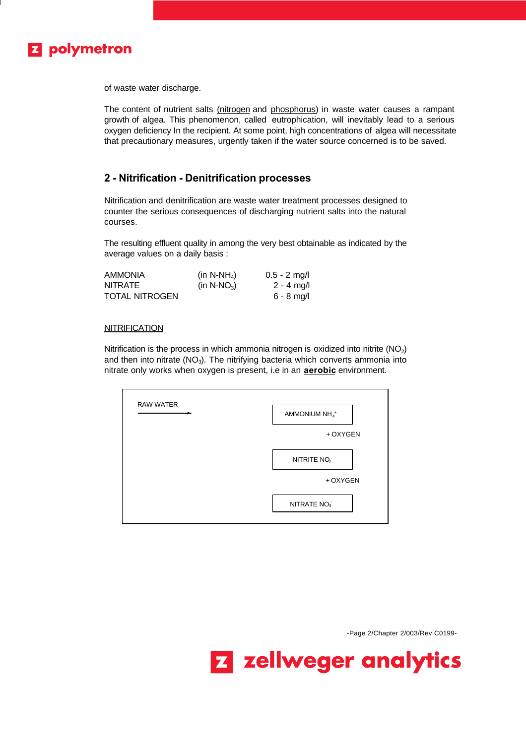

of waste water discharge.

The content of nutrient salts (nitrogen and phosphorus) in waste water causes a rampant growth of algea. This phenomenon, called eutrophication, will inevitably lead to a serious oxygen deficiency In the recipient. At some point, high concentrations of algea will necessitate that precautionary measures, urgently taken if the water source concerned is to be saved.

#### **2 - Nitrification - Denitrification processes**

Nitrification and denitrification are waste water treatment processes designed to counter the serious consequences of discharging nutrient salts into the natural courses.

The resulting effluent quality in among the very best obtainable as indicated by the average values on a daily basis :

| <b>AMMONIA</b>        | (in N-NH <sub>4</sub> ) | $0.5 - 2$ mg/l |
|-----------------------|-------------------------|----------------|
| <b>NITRATE</b>        | (in N-NO <sub>3</sub> ) | $2 - 4$ mg/l   |
| <b>TOTAL NITROGEN</b> |                         | $6 - 8$ mg/l   |

#### **NITRIFICATION**

Nitrification is the process in which ammonia nitrogen is oxidized into nitrite  $(NO<sub>2</sub>)$ and then into nitrate  $(NO<sub>3</sub>)$ . The nitrifying bacteria which converts ammonia into nitrate only works when oxygen is present, i.e in an **aerobic** environment.

| AMMONIUM NH <sub>4</sub> <sup>+</sup> |
|---------------------------------------|
| + OXYGEN                              |
| NITRITE NO <sub>2</sub>               |
| + OXYGEN                              |
| NITRATE NO <sub>3</sub>               |

-Page 2/Chapter 2/003/Rev.C0199-

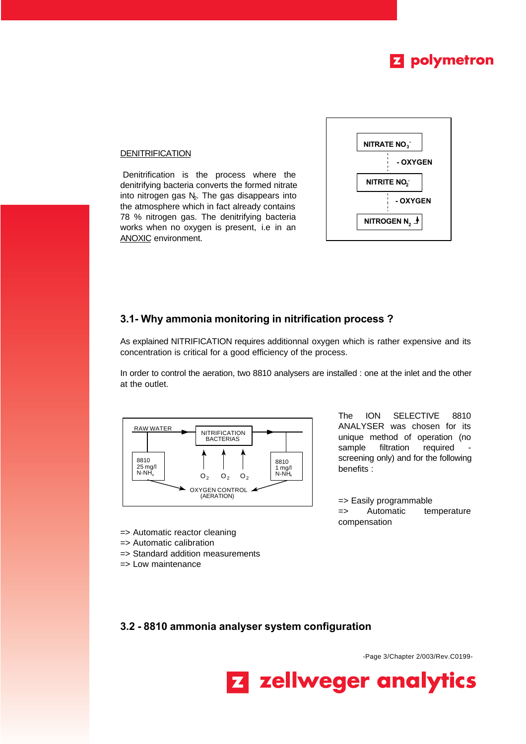

#### **DENITRIFICATION**

Denitrification is the process where the denitrifying bacteria converts the formed nitrate into nitrogen gas  $N<sub>2</sub>$ . The gas disappears into the atmosphere which in fact already contains 78 % nitrogen gas. The denitrifying bacteria works when no oxygen is present, i.e in an ANOXIC environment.



#### **3.1- Why ammonia monitoring in nitrification process ?**

As explained NITRIFICATION requires additionnal oxygen which is rather expensive and its concentration is critical for a good efficiency of the process.

In order to control the aeration, two 8810 analysers are installed : one at the inlet and the other at the outlet.



The ION SELECTIVE 8810 ANALYSER was chosen for its unique method of operation (no sample filtration required screening only) and for the following benefits :

=> Easily programmable => Automatic temperature compensation

- => Automatic reactor cleaning
- => Automatic calibration
- => Standard addition measurements
- => Low maintenance

**3.2 - 8810 ammonia analyser system configuration**

-Page 3/Chapter 2/003/Rev.C0199-

**Z** zellweger analytics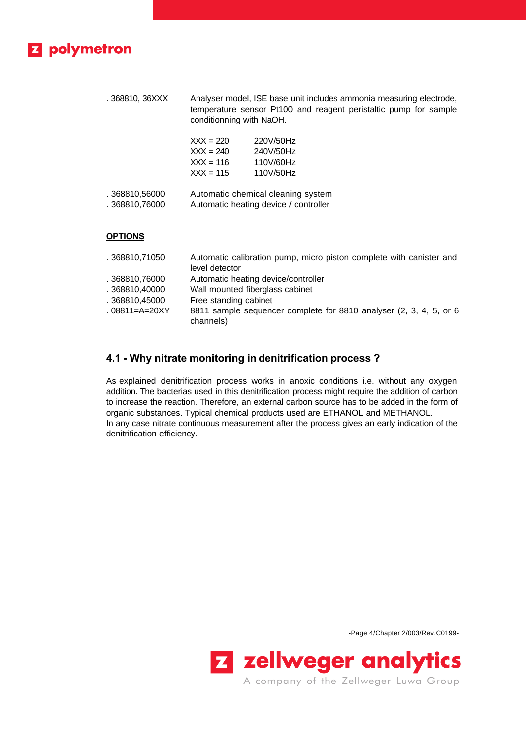## **Z** polymetron

. 368810, 36XXX Analyser model, ISE base unit includes ammonia measuring electrode, temperature sensor Pt100 and reagent peristaltic pump for sample conditionning with NaOH.

| 220V/50Hz |
|-----------|
| 240V/50Hz |
| 110V/60Hz |
| 110V/50Hz |
|           |

| .368810,56000  | Automatic chemical cleaning system    |
|----------------|---------------------------------------|
| . 368810,76000 | Automatic heating device / controller |

#### **OPTIONS**

| . 368810,71050 | Automatic calibration pump, micro piston complete with canister and |
|----------------|---------------------------------------------------------------------|
|                | level detector                                                      |
| . 368810,76000 | Automatic heating device/controller                                 |
| .368810.40000  | Wall mounted fiberglass cabinet                                     |
| . 368810,45000 | Free standing cabinet                                               |
| . 08811=A=20XY | 8811 sample sequencer complete for 8810 analyser (2, 3, 4, 5, or 6  |
|                | channels)                                                           |

#### **4.1 - Why nitrate monitoring in denitrification process ?**

As explained denitrification process works in anoxic conditions i.e. without any oxygen addition. The bacterias used in this denitrification process might require the addition of carbon to increase the reaction. Therefore, an external carbon source has to be added in the form of organic substances. Typical chemical products used are ETHANOL and METHANOL. In any case nitrate continuous measurement after the process gives an early indication of the denitrification efficiency.

-Page 4/Chapter 2/003/Rev.C0199-